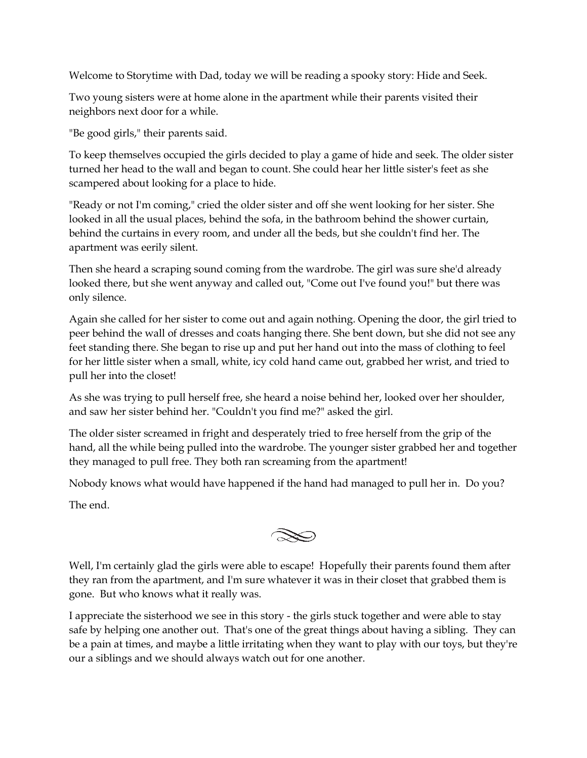Welcome to Storytime with Dad, today we will be reading a spooky story: Hide and Seek.

Two young sisters were at home alone in the apartment while their parents visited their neighbors next door for a while.

"Be good girls," their parents said.

To keep themselves occupied the girls decided to play a game of hide and seek. The older sister turned her head to the wall and began to count. She could hear her little sister's feet as she scampered about looking for a place to hide.

"Ready or not I'm coming," cried the older sister and off she went looking for her sister. She looked in all the usual places, behind the sofa, in the bathroom behind the shower curtain, behind the curtains in every room, and under all the beds, but she couldn't find her. The apartment was eerily silent.

Then she heard a scraping sound coming from the wardrobe. The girl was sure she'd already looked there, but she went anyway and called out, "Come out I've found you!" but there was only silence.

Again she called for her sister to come out and again nothing. Opening the door, the girl tried to peer behind the wall of dresses and coats hanging there. She bent down, but she did not see any feet standing there. She began to rise up and put her hand out into the mass of clothing to feel for her little sister when a small, white, icy cold hand came out, grabbed her wrist, and tried to pull her into the closet!

As she was trying to pull herself free, she heard a noise behind her, looked over her shoulder, and saw her sister behind her. "Couldn't you find me?" asked the girl.

The older sister screamed in fright and desperately tried to free herself from the grip of the hand, all the while being pulled into the wardrobe. The younger sister grabbed her and together they managed to pull free. They both ran screaming from the apartment!

Nobody knows what would have happened if the hand had managed to pull her in. Do you?

The end.

 $\gg$ 

Well, I'm certainly glad the girls were able to escape! Hopefully their parents found them after they ran from the apartment, and I'm sure whatever it was in their closet that grabbed them is gone. But who knows what it really was.

I appreciate the sisterhood we see in this story - the girls stuck together and were able to stay safe by helping one another out. That's one of the great things about having a sibling. They can be a pain at times, and maybe a little irritating when they want to play with our toys, but they're our a siblings and we should always watch out for one another.